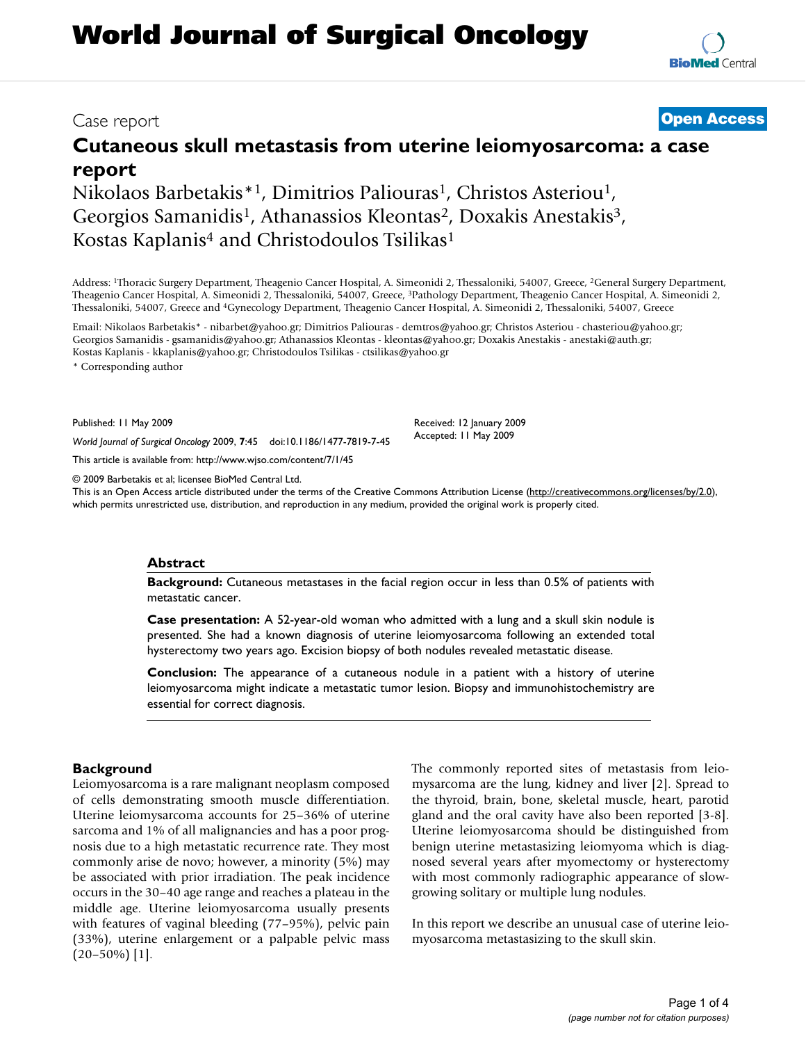# **World Journal of Surgical Oncology**

## **Cutaneous skull metastasis from uterine leiomyosarcoma: a case report**

Nikolaos Barbetakis<sup>\*1</sup>, Dimitrios Paliouras<sup>1</sup>, Christos Asteriou<sup>1</sup>, Georgios Samanidis<sup>1</sup>, Athanassios Kleontas<sup>2</sup>, Doxakis Anestakis<sup>3</sup>, Kostas Kaplanis<sup>4</sup> and Christodoulos Tsilikas<sup>1</sup>

Address: 1Thoracic Surgery Department, Theagenio Cancer Hospital, A. Simeonidi 2, Thessaloniki, 54007, Greece, 2General Surgery Department, Theagenio Cancer Hospital, A. Simeonidi 2, Thessaloniki, 54007, Greece, 3Pathology Department, Theagenio Cancer Hospital, A. Simeonidi 2, Thessaloniki, 54007, Greece and 4Gynecology Department, Theagenio Cancer Hospital, A. Simeonidi 2, Thessaloniki, 54007, Greece

Email: Nikolaos Barbetakis\* - nibarbet@yahoo.gr; Dimitrios Paliouras - demtros@yahoo.gr; Christos Asteriou - chasteriou@yahoo.gr; Georgios Samanidis - gsamanidis@yahoo.gr; Athanassios Kleontas - kleontas@yahoo.gr; Doxakis Anestakis - anestaki@auth.gr; Kostas Kaplanis - kkaplanis@yahoo.gr; Christodoulos Tsilikas - ctsilikas@yahoo.gr

\* Corresponding author

Published: 11 May 2009

*World Journal of Surgical Oncology* 2009, **7**:45 doi:10.1186/1477-7819-7-45

[This article is available from: http://www.wjso.com/content/7/1/45](http://www.wjso.com/content/7/1/45)

© 2009 Barbetakis et al; licensee BioMed Central Ltd.

This is an Open Access article distributed under the terms of the Creative Commons Attribution License [\(http://creativecommons.org/licenses/by/2.0\)](http://creativecommons.org/licenses/by/2.0), which permits unrestricted use, distribution, and reproduction in any medium, provided the original work is properly cited.

#### **Abstract**

**Background:** Cutaneous metastases in the facial region occur in less than 0.5% of patients with metastatic cancer.

**Case presentation:** A 52-year-old woman who admitted with a lung and a skull skin nodule is presented. She had a known diagnosis of uterine leiomyosarcoma following an extended total hysterectomy two years ago. Excision biopsy of both nodules revealed metastatic disease.

**Conclusion:** The appearance of a cutaneous nodule in a patient with a history of uterine leiomyosarcoma might indicate a metastatic tumor lesion. Biopsy and immunohistochemistry are essential for correct diagnosis.

### **Background**

Leiomyosarcoma is a rare malignant neoplasm composed of cells demonstrating smooth muscle differentiation. Uterine leiomysarcoma accounts for 25–36% of uterine sarcoma and 1% of all malignancies and has a poor prognosis due to a high metastatic recurrence rate. They most commonly arise de novo; however, a minority (5%) may be associated with prior irradiation. The peak incidence occurs in the 30–40 age range and reaches a plateau in the middle age. Uterine leiomyosarcoma usually presents with features of vaginal bleeding (77–95%), pelvic pain (33%), uterine enlargement or a palpable pelvic mass  $(20-50\%)$  [1].

The commonly reported sites of metastasis from leiomysarcoma are the lung, kidney and liver [2]. Spread to the thyroid, brain, bone, skeletal muscle, heart, parotid gland and the oral cavity have also been reported [3-8]. Uterine leiomyosarcoma should be distinguished from benign uterine metastasizing leiomyoma which is diagnosed several years after myomectomy or hysterectomy with most commonly radiographic appearance of slowgrowing solitary or multiple lung nodules.

In this report we describe an unusual case of uterine leiomyosarcoma metastasizing to the skull skin.

Received: 12 January 2009 Accepted: 11 May 2009

Case report **[Open Access](http://www.biomedcentral.com/info/about/charter/)**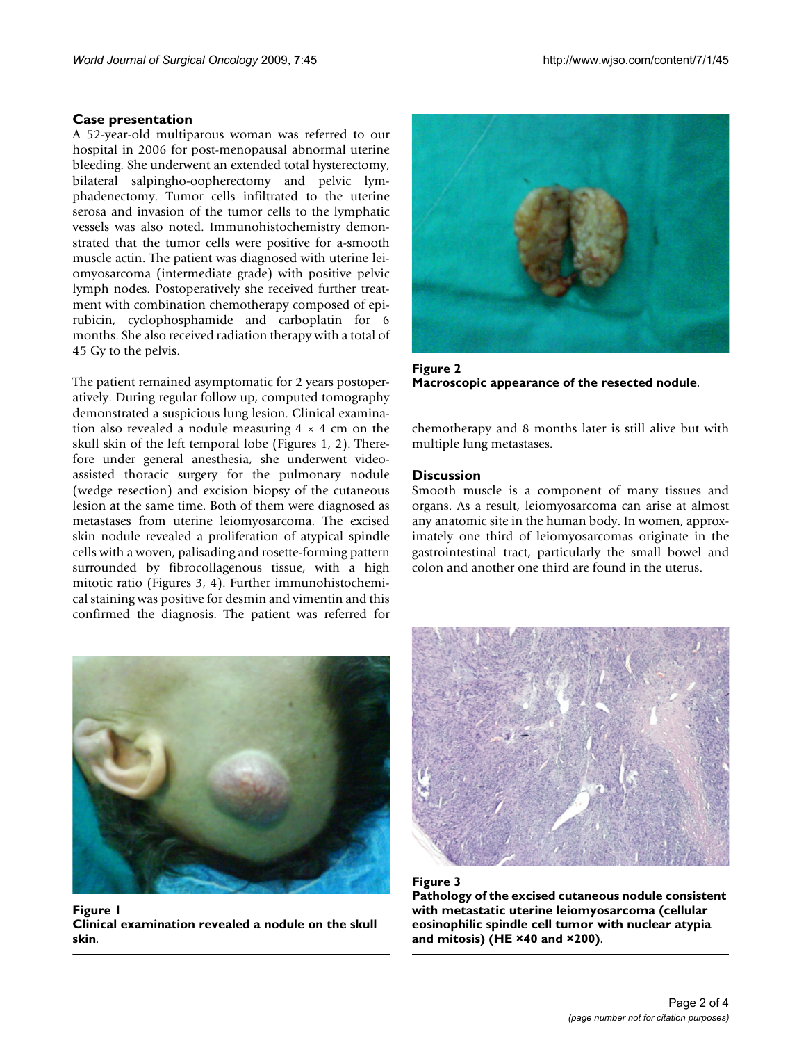#### **Case presentation**

A 52-year-old multiparous woman was referred to our hospital in 2006 for post-menopausal abnormal uterine bleeding. She underwent an extended total hysterectomy, bilateral salpingho-oopherectomy and pelvic lymphadenectomy. Tumor cells infiltrated to the uterine serosa and invasion of the tumor cells to the lymphatic vessels was also noted. Immunohistochemistry demonstrated that the tumor cells were positive for a-smooth muscle actin. The patient was diagnosed with uterine leiomyosarcoma (intermediate grade) with positive pelvic lymph nodes. Postoperatively she received further treatment with combination chemotherapy composed of epirubicin, cyclophosphamide and carboplatin for 6 months. She also received radiation therapy with a total of 45 Gy to the pelvis.

The patient remained asymptomatic for 2 years postoperatively. During regular follow up, computed tomography demonstrated a suspicious lung lesion. Clinical examination also revealed a nodule measuring  $4 \times 4$  cm on the skull skin of the left temporal lobe (Figures 1, 2). Therefore under general anesthesia, she underwent videoassisted thoracic surgery for the pulmonary nodule (wedge resection) and excision biopsy of the cutaneous lesion at the same time. Both of them were diagnosed as metastases from uterine leiomyosarcoma. The excised skin nodule revealed a proliferation of atypical spindle cells with a woven, palisading and rosette-forming pattern surrounded by fibrocollagenous tissue, with a high mitotic ratio (Figures 3, 4). Further immunohistochemical staining was positive for desmin and vimentin and this confirmed the diagnosis. The patient was referred for



Figure 1 **Clinical examination revealed a nodule on the skull skin**.



**Figure 2 Macroscopic appearance of the resected nodule**.

chemotherapy and 8 months later is still alive but with multiple lung metastases.

#### **Discussion**

Smooth muscle is a component of many tissues and organs. As a result, leiomyosarcoma can arise at almost any anatomic site in the human body. In women, approximately one third of leiomyosarcomas originate in the gastrointestinal tract, particularly the small bowel and colon and another one third are found in the uterus.



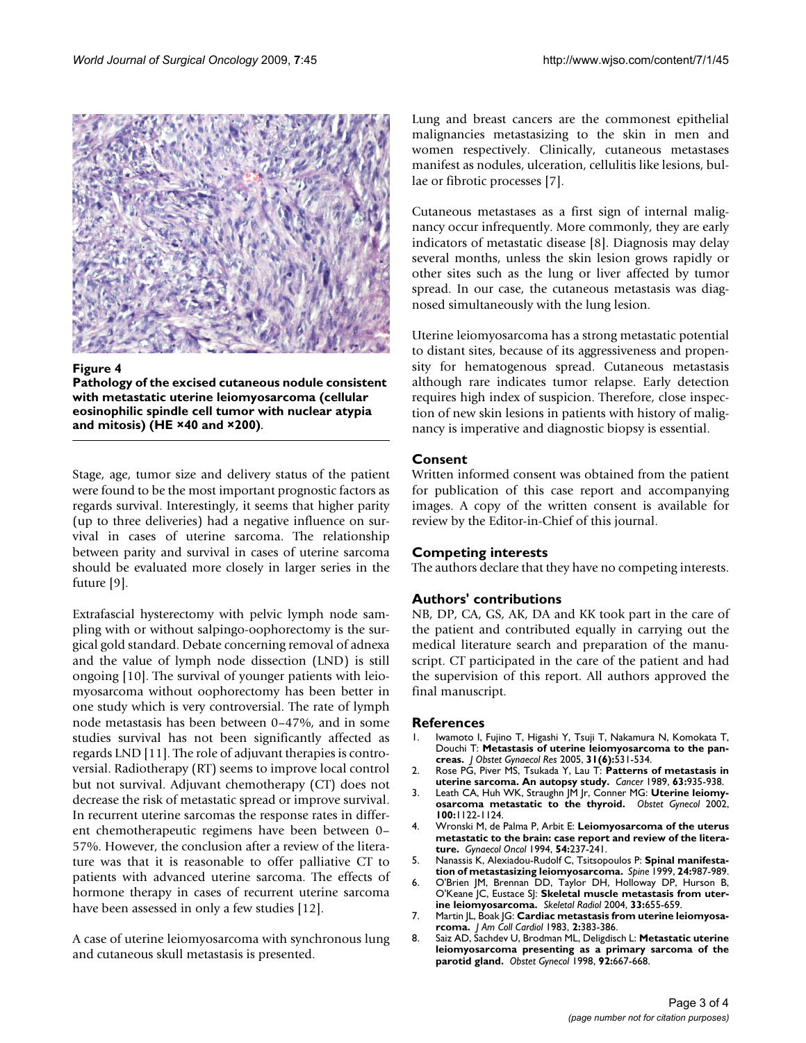

#### Figure 4

**Pathology of the excised cutaneous nodule consistent with metastatic uterine leiomyosarcoma (cellular eosinophilic spindle cell tumor with nuclear atypia and mitosis) (HE ×40 and ×200)**.

Stage, age, tumor size and delivery status of the patient were found to be the most important prognostic factors as regards survival. Interestingly, it seems that higher parity (up to three deliveries) had a negative influence on survival in cases of uterine sarcoma. The relationship between parity and survival in cases of uterine sarcoma should be evaluated more closely in larger series in the future [9].

Extrafascial hysterectomy with pelvic lymph node sampling with or without salpingo-oophorectomy is the surgical gold standard. Debate concerning removal of adnexa and the value of lymph node dissection (LND) is still ongoing [10]. The survival of younger patients with leiomyosarcoma without oophorectomy has been better in one study which is very controversial. The rate of lymph node metastasis has been between 0–47%, and in some studies survival has not been significantly affected as regards LND [11]. The role of adjuvant therapies is controversial. Radiotherapy (RT) seems to improve local control but not survival. Adjuvant chemotherapy (CT) does not decrease the risk of metastatic spread or improve survival. In recurrent uterine sarcomas the response rates in different chemotherapeutic regimens have been between 0– 57%. However, the conclusion after a review of the literature was that it is reasonable to offer palliative CT to patients with advanced uterine sarcoma. The effects of hormone therapy in cases of recurrent uterine sarcoma have been assessed in only a few studies [12].

A case of uterine leiomyosarcoma with synchronous lung and cutaneous skull metastasis is presented.

Lung and breast cancers are the commonest epithelial malignancies metastasizing to the skin in men and women respectively. Clinically, cutaneous metastases manifest as nodules, ulceration, cellulitis like lesions, bullae or fibrotic processes [7].

Cutaneous metastases as a first sign of internal malignancy occur infrequently. More commonly, they are early indicators of metastatic disease [8]. Diagnosis may delay several months, unless the skin lesion grows rapidly or other sites such as the lung or liver affected by tumor spread. In our case, the cutaneous metastasis was diagnosed simultaneously with the lung lesion.

Uterine leiomyosarcoma has a strong metastatic potential to distant sites, because of its aggressiveness and propensity for hematogenous spread. Cutaneous metastasis although rare indicates tumor relapse. Early detection requires high index of suspicion. Therefore, close inspection of new skin lesions in patients with history of malignancy is imperative and diagnostic biopsy is essential.

#### **Consent**

Written informed consent was obtained from the patient for publication of this case report and accompanying images. A copy of the written consent is available for review by the Editor-in-Chief of this journal.

#### **Competing interests**

The authors declare that they have no competing interests.

#### **Authors' contributions**

NB, DP, CA, GS, AK, DA and KK took part in the care of the patient and contributed equally in carrying out the medical literature search and preparation of the manuscript. CT participated in the care of the patient and had the supervision of this report. All authors approved the final manuscript.

#### **References**

- 1. Iwamoto I, Fujino T, Higashi Y, Tsuji T, Nakamura N, Komokata T, Douchi T: **[Metastasis of uterine leiomyosarcoma to the pan](http://www.ncbi.nlm.nih.gov/entrez/query.fcgi?cmd=Retrieve&db=PubMed&dopt=Abstract&list_uids=16343254)[creas.](http://www.ncbi.nlm.nih.gov/entrez/query.fcgi?cmd=Retrieve&db=PubMed&dopt=Abstract&list_uids=16343254)** *J Obstet Gynaecol Res* 2005, **31(6):**531-534.
- 2. Rose PG, Piver MS, Tsukada Y, Lau T: **[Patterns of metastasis in](http://www.ncbi.nlm.nih.gov/entrez/query.fcgi?cmd=Retrieve&db=PubMed&dopt=Abstract&list_uids=2914299) [uterine sarcoma. An autopsy study.](http://www.ncbi.nlm.nih.gov/entrez/query.fcgi?cmd=Retrieve&db=PubMed&dopt=Abstract&list_uids=2914299)** *Cancer* 1989, **63:**935-938.
- 3. Leath CA, Huh WK, Straughn JM Jr, Conner MG: **[Uterine leiomy](http://www.ncbi.nlm.nih.gov/entrez/query.fcgi?cmd=Retrieve&db=PubMed&dopt=Abstract&list_uids=12423830)[osarcoma metastatic to the thyroid.](http://www.ncbi.nlm.nih.gov/entrez/query.fcgi?cmd=Retrieve&db=PubMed&dopt=Abstract&list_uids=12423830)** *Obstet Gynecol* 2002, **100:**1122-1124.
- 4. Wronski M, de Palma P, Arbit E: **Leiomyosarcoma of the uterus metastatic to the brain: case report and review of the literature.** *Gynaecol Oncol* 1994, **54:**237-241.
- 5. Nanassis K, Alexiadou-Rudolf C, Tsitsopoulos P: **[Spinal manifesta](http://www.ncbi.nlm.nih.gov/entrez/query.fcgi?cmd=Retrieve&db=PubMed&dopt=Abstract&list_uids=10332790)[tion of metastasizing leiomyosarcoma.](http://www.ncbi.nlm.nih.gov/entrez/query.fcgi?cmd=Retrieve&db=PubMed&dopt=Abstract&list_uids=10332790)** *Spine* 1999, **24:**987-989.
- 6. O'Brien JM, Brennan DD, Taylor DH, Holloway DP, Hurson B, O'Keane JC, Eustace SJ: **[Skeletal muscle metastasis from uter](http://www.ncbi.nlm.nih.gov/entrez/query.fcgi?cmd=Retrieve&db=PubMed&dopt=Abstract&list_uids=15127247)[ine leiomyosarcoma.](http://www.ncbi.nlm.nih.gov/entrez/query.fcgi?cmd=Retrieve&db=PubMed&dopt=Abstract&list_uids=15127247)** *Skeletal Radiol* 2004, **33:**655-659.
- 7. Martin JL, Boak JG: **[Cardiac metastasis from uterine leiomyosa](http://www.ncbi.nlm.nih.gov/entrez/query.fcgi?cmd=Retrieve&db=PubMed&dopt=Abstract&list_uids=6863772)[rcoma.](http://www.ncbi.nlm.nih.gov/entrez/query.fcgi?cmd=Retrieve&db=PubMed&dopt=Abstract&list_uids=6863772)** *J Am Coll Cardiol* 1983, **2:**383-386.
- 8. Saiz AD, Sachdev U, Brodman ML, Deligdisch L: **[Metastatic uterine](http://www.ncbi.nlm.nih.gov/entrez/query.fcgi?cmd=Retrieve&db=PubMed&dopt=Abstract&list_uids=9764656) [leiomyosarcoma presenting as a primary sarcoma of the](http://www.ncbi.nlm.nih.gov/entrez/query.fcgi?cmd=Retrieve&db=PubMed&dopt=Abstract&list_uids=9764656) [parotid gland.](http://www.ncbi.nlm.nih.gov/entrez/query.fcgi?cmd=Retrieve&db=PubMed&dopt=Abstract&list_uids=9764656)** *Obstet Gynecol* 1998, **92:**667-668.